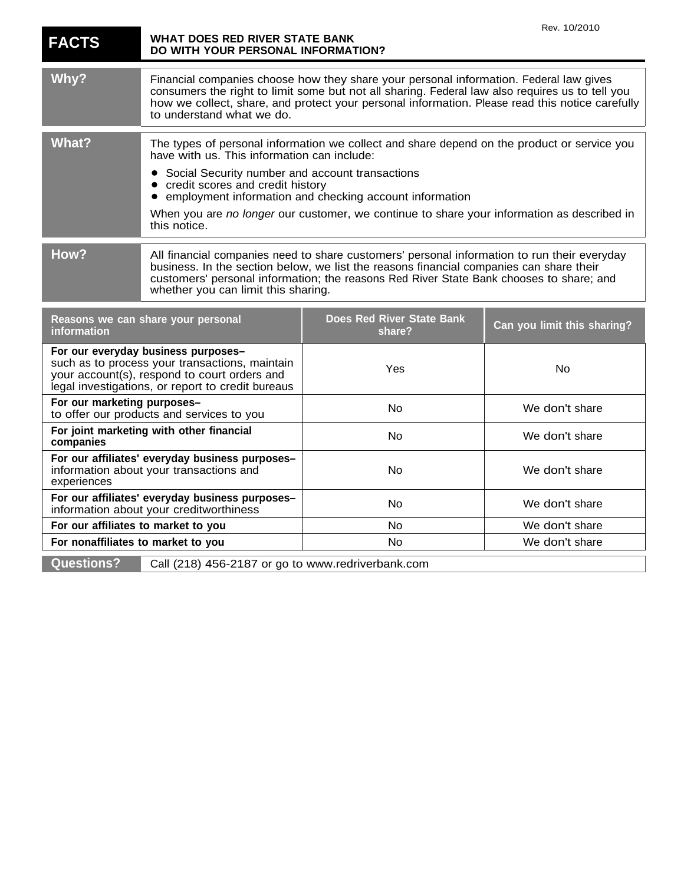| <b>FACTS</b>                                                                                                                                                                               | WHAT DOES RED RIVER STATE BANK<br>DO WITH YOUR PERSONAL INFORMATION?                                                                                                                                                                                                                                                      |                                                                                                                                                       | Rev. 10/2010                |
|--------------------------------------------------------------------------------------------------------------------------------------------------------------------------------------------|---------------------------------------------------------------------------------------------------------------------------------------------------------------------------------------------------------------------------------------------------------------------------------------------------------------------------|-------------------------------------------------------------------------------------------------------------------------------------------------------|-----------------------------|
| Why?                                                                                                                                                                                       | Financial companies choose how they share your personal information. Federal law gives<br>consumers the right to limit some but not all sharing. Federal law also requires us to tell you<br>how we collect, share, and protect your personal information. Please read this notice carefully<br>to understand what we do. |                                                                                                                                                       |                             |
| <b>What?</b>                                                                                                                                                                               | The types of personal information we collect and share depend on the product or service you<br>have with us. This information can include:                                                                                                                                                                                |                                                                                                                                                       |                             |
|                                                                                                                                                                                            | Social Security number and account transactions<br>credit scores and credit history<br>this notice.                                                                                                                                                                                                                       | employment information and checking account information<br>When you are no longer our customer, we continue to share your information as described in |                             |
| How?                                                                                                                                                                                       |                                                                                                                                                                                                                                                                                                                           |                                                                                                                                                       |                             |
|                                                                                                                                                                                            | All financial companies need to share customers' personal information to run their everyday<br>business. In the section below, we list the reasons financial companies can share their<br>customers' personal information; the reasons Red River State Bank chooses to share; and<br>whether you can limit this sharing.  |                                                                                                                                                       |                             |
| Reasons we can share your personal<br>information                                                                                                                                          |                                                                                                                                                                                                                                                                                                                           | <b>Does Red River State Bank</b><br>share?                                                                                                            | Can you limit this sharing? |
| For our everyday business purposes-<br>such as to process your transactions, maintain<br>your account(s), respond to court orders and<br>legal investigations, or report to credit bureaus |                                                                                                                                                                                                                                                                                                                           | Yes                                                                                                                                                   | No                          |
| For our marketing purposes-<br>to offer our products and services to you                                                                                                                   |                                                                                                                                                                                                                                                                                                                           | <b>No</b>                                                                                                                                             | We don't share              |
| For joint marketing with other financial<br>companies                                                                                                                                      |                                                                                                                                                                                                                                                                                                                           | No                                                                                                                                                    | We don't share              |
| For our affiliates' everyday business purposes-<br>information about your transactions and<br>experiences                                                                                  |                                                                                                                                                                                                                                                                                                                           | No                                                                                                                                                    | We don't share              |
| For our affiliates' everyday business purposes-<br>information about your creditworthiness                                                                                                 |                                                                                                                                                                                                                                                                                                                           | <b>No</b>                                                                                                                                             | We don't share              |
| For our affiliates to market to you                                                                                                                                                        |                                                                                                                                                                                                                                                                                                                           | No                                                                                                                                                    | We don't share              |
| For nonaffiliates to market to you                                                                                                                                                         |                                                                                                                                                                                                                                                                                                                           | No                                                                                                                                                    | We don't share              |
| <b>Questions?</b>                                                                                                                                                                          | Call (218) 456-2187 or go to www.redriverbank.com                                                                                                                                                                                                                                                                         |                                                                                                                                                       |                             |